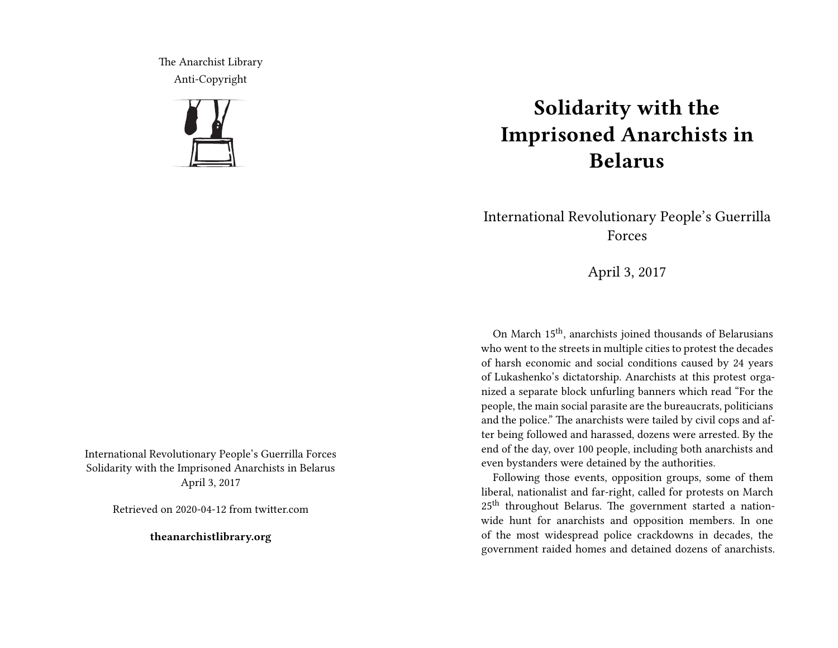The Anarchist Library Anti-Copyright



International Revolutionary People's Guerrilla Forces Solidarity with the Imprisoned Anarchists in Belarus April 3, 2017

Retrieved on 2020-04-12 from twitter.com

**theanarchistlibrary.org**

## **Solidarity with the Imprisoned Anarchists in Belarus**

International Revolutionary People's Guerrilla Forces

April 3, 2017

On March 15th, anarchists joined thousands of Belarusians who went to the streets in multiple cities to protest the decades of harsh economic and social conditions caused by 24 years of Lukashenko's dictatorship. Anarchists at this protest organized a separate block unfurling banners which read "For the people, the main social parasite are the bureaucrats, politicians and the police." The anarchists were tailed by civil cops and after being followed and harassed, dozens were arrested. By the end of the day, over 100 people, including both anarchists and even bystanders were detained by the authorities.

Following those events, opposition groups, some of them liberal, nationalist and far-right, called for protests on March 25<sup>th</sup> throughout Belarus. The government started a nationwide hunt for anarchists and opposition members. In one of the most widespread police crackdowns in decades, the government raided homes and detained dozens of anarchists.